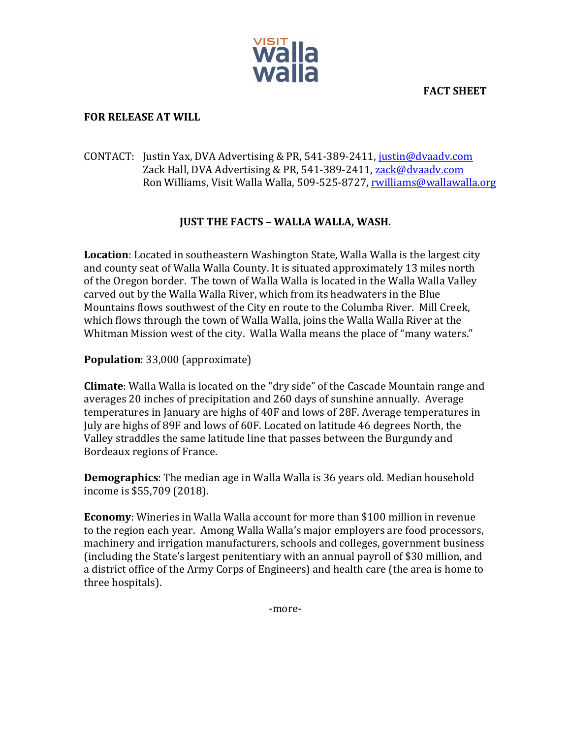**FACT SHEET**



## **FOR RELEASE AT WILL**

## CONTACT: Justin Yax, DVA Advertising & PR, 541-389-2411, justin@dvaadv.com Zack Hall, DVA Advertising & PR, 541-389-2411, zack@dvaadv.com Ron Williams, Visit Walla Walla, 509-525-8727, rwilliams@wallawalla.org

## **JUST THE FACTS - WALLA WALLA, WASH.**

**Location**: Located in southeastern Washington State, Walla Walla is the largest city and county seat of Walla Walla County. It is situated approximately 13 miles north of the Oregon border. The town of Walla Walla is located in the Walla Walla Valley carved out by the Walla Walla River, which from its headwaters in the Blue Mountains flows southwest of the City en route to the Columba River. Mill Creek, which flows through the town of Walla Walla, joins the Walla Walla River at the Whitman Mission west of the city. Walla Walla means the place of "many waters."

**Population**: 33,000 (approximate)

**Climate**: Walla Walla is located on the "dry side" of the Cascade Mountain range and averages 20 inches of precipitation and 260 days of sunshine annually. Average temperatures in January are highs of 40F and lows of 28F. Average temperatures in July are highs of 89F and lows of 60F. Located on latitude 46 degrees North, the Valley straddles the same latitude line that passes between the Burgundy and Bordeaux regions of France.

**Demographics**: The median age in Walla Walla is 36 years old. Median household income is \$55,709 (2018).

**Economy**: Wineries in Walla Walla account for more than \$100 million in revenue to the region each year. Among Walla Walla's major employers are food processors, machinery and irrigation manufacturers, schools and colleges, government business (including the State's largest penitentiary with an annual payroll of \$30 million, and a district office of the Army Corps of Engineers) and health care (the area is home to three hospitals).

-more-